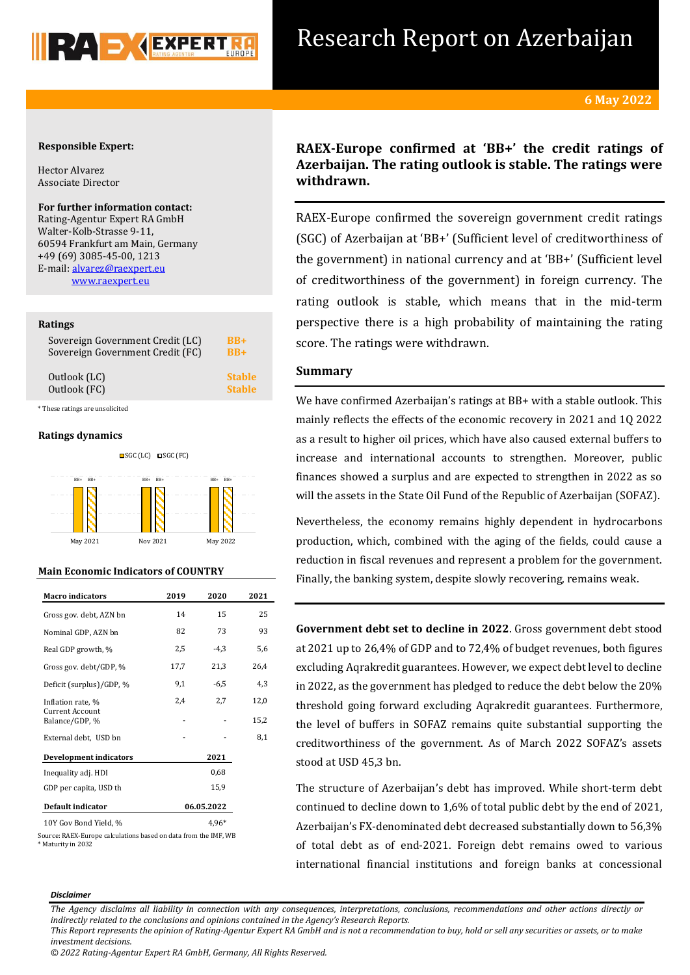

# Research Report on Azerbaijan

### **6 May 2022**

### **Responsible Expert:**

Hector Alvarez Associate Director

**For further information contact:** Rating-Agentur Expert RA GmbH Walter-Kolb-Strasse 9-11, 60594 Frankfurt am Main, Germany +49 (69) 3085-45-00, 1213 E-mail[: alvarez@raexpert.eu](mailto:alvarez@raexpert.eu) [www.raexpert.eu](http://raexpert.eu/)

### **Ratings**

| Sovereign Government Credit (LC) | $BR+$         |
|----------------------------------|---------------|
| Sovereign Government Credit (FC) | $RB+$         |
| Outlook (LC)                     | <b>Stable</b> |
| Outlook (FC)                     | <b>Stable</b> |
| These ratings are unsolicited    |               |

### **Ratings dynamics**



### **Main Economic Indicators of COUNTRY**

| <b>Macro indicators</b>           | 2019       | 2020   | 2021 |
|-----------------------------------|------------|--------|------|
| Gross gov. debt, AZN bn           | 14         | 15     | 25   |
| Nominal GDP, AZN bn               | 82         | 73     | 93   |
| Real GDP growth, %                | 2,5        | $-4,3$ | 5,6  |
| Gross gov. debt/GDP, %            | 17,7       | 21,3   | 26,4 |
| Deficit (surplus)/GDP, %          | 9,1        | $-6,5$ | 4,3  |
| Inflation rate, %                 | 2,4        | 2,7    | 12,0 |
| Current Account<br>Balance/GDP, % |            |        | 15,2 |
| External debt, USD bn             |            |        | 8,1  |
| <b>Development indicators</b>     |            | 2021   |      |
| Inequality adj. HDI               |            | 0,68   |      |
| GDP per capita, USD th            |            | 15,9   |      |
| Default indicator                 | 06.05.2022 |        |      |
| 10Y Gov Bond Yield, %             |            |        |      |

Source: RAEX-Europe calculations based on data from the IMF, WB \* Maturity in 2032

# **RAEX-Europe confirmed at 'BB+' the credit ratings of Azerbaijan. The rating outlook is stable. The ratings were withdrawn.**

RAEX-Europe confirmed the sovereign government credit ratings (SGC) of Azerbaijan at 'BB+' (Sufficient level of creditworthiness of the government) in national currency and at 'BB+' (Sufficient level of creditworthiness of the government) in foreign currency. The rating outlook is stable, which means that in the mid-term perspective there is a high probability of maintaining the rating score. The ratings were withdrawn.

### **Summary**

We have confirmed Azerbaijan's ratings at BB+ with a stable outlook. This mainly reflects the effects of the economic recovery in 2021 and 1Q 2022 as a result to higher oil prices, which have also caused external buffers to increase and international accounts to strengthen. Moreover, public finances showed a surplus and are expected to strengthen in 2022 as so will the assets in the State Oil Fund of the Republic of Azerbaijan (SOFAZ).

Nevertheless, the economy remains highly dependent in hydrocarbons production, which, combined with the aging of the fields, could cause a reduction in fiscal revenues and represent a problem for the government. Finally, the banking system, despite slowly recovering, remains weak.

**Government debt set to decline in 2022**. Gross government debt stood at 2021 up to 26,4% of GDP and to 72,4% of budget revenues, both figures excluding Aqrakredit guarantees. However, we expect debt level to decline in 2022, as the government has pledged to reduce the debt below the 20% threshold going forward excluding Aqrakredit guarantees. Furthermore, the level of buffers in SOFAZ remains quite substantial supporting the creditworthiness of the government. As of March 2022 SOFAZ's assets stood at USD 45,3 bn.

The structure of Azerbaijan's debt has improved. While short-term debt continued to decline down to 1,6% of total public debt by the end of 2021, Azerbaijan's FX-denominated debt decreased substantially down to 56,3% of total debt as of end-2021. Foreign debt remains owed to various international financial institutions and foreign banks at concessional

#### *Disclaimer*

*This Report represents the opinion of Rating-Agentur Expert RA GmbH and is not a recommendation to buy, hold or sell any securities or assets, or to make investment decisions.*

*<sup>© 2022</sup> Rating-Agentur Expert RA GmbH, Germany, All Rights Reserved.*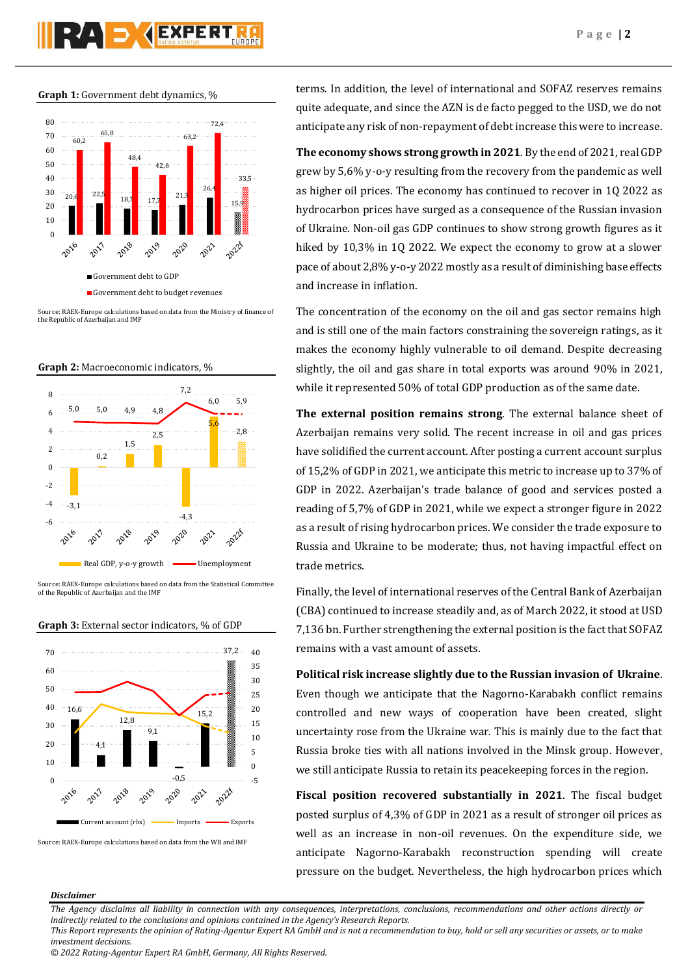**Graph 1:** Government debt dynamics, %



Source: RAEX-Europe calculations based on data from the Ministry of finance of the Republic of Azerbaijan and IMF





ource: RAEX-Europe calculations based on data from the Statistical Committee of the Republic of Azerbaijan and the IMF



### **Graph 3:** External sector indicators, % of GDP

terms. In addition, the level of international and SOFAZ reserves remains quite adequate, and since the AZN is de facto pegged to the USD, we do not anticipate any risk of non-repayment of debt increase this were to increase.

**The economy shows strong growth in 2021**. By the end of 2021, real GDP grew by 5,6% y-o-y resulting from the recovery from the pandemic as well as higher oil prices. The economy has continued to recover in 1Q 2022 as hydrocarbon prices have surged as a consequence of the Russian invasion of Ukraine. Non-oil gas GDP continues to show strong growth figures as it hiked by 10,3% in 1Q 2022. We expect the economy to grow at a slower pace of about 2,8% y-o-y 2022 mostly as a result of diminishing base effects and increase in inflation.

The concentration of the economy on the oil and gas sector remains high and is still one of the main factors constraining the sovereign ratings, as it makes the economy highly vulnerable to oil demand. Despite decreasing slightly, the oil and gas share in total exports was around 90% in 2021, while it represented 50% of total GDP production as of the same date.

**The external position remains strong**. The external balance sheet of Azerbaijan remains very solid. The recent increase in oil and gas prices have solidified the current account. After posting a current account surplus of 15,2% of GDP in 2021, we anticipate this metric to increase up to 37% of GDP in 2022. Azerbaijan's trade balance of good and services posted a reading of 5,7% of GDP in 2021, while we expect a stronger figure in 2022 as a result of rising hydrocarbon prices. We consider the trade exposure to Russia and Ukraine to be moderate; thus, not having impactful effect on trade metrics.

Finally, the level of international reserves of the Central Bank of Azerbaijan (CBA) continued to increase steadily and, as of March 2022, it stood at USD 7,136 bn. Further strengthening the external position is the fact that SOFAZ remains with a vast amount of assets.

**Political risk increase slightly due to the Russian invasion of Ukraine**. Even though we anticipate that the Nagorno-Karabakh conflict remains controlled and new ways of cooperation have been created, slight uncertainty rose from the Ukraine war. This is mainly due to the fact that Russia broke ties with all nations involved in the Minsk group. However, we still anticipate Russia to retain its peacekeeping forces in the region.

**Fiscal position recovered substantially in 2021**. The fiscal budget posted surplus of 4,3% of GDP in 2021 as a result of stronger oil prices as well as an increase in non-oil revenues. On the expenditure side, we anticipate Nagorno-Karabakh reconstruction spending will create pressure on the budget. Nevertheless, the high hydrocarbon prices which

### *Disclaimer*

Source: RAEX-Europe calculations based on data from the WB and IMF

*The Agency disclaims all liability in connection with any consequences, interpretations, conclusions, recommendations and other actions directly or indirectly related to the conclusions and opinions contained in the Agency's Research Reports.*

*This Report represents the opinion of Rating-Agentur Expert RA GmbH and is not a recommendation to buy, hold or sell any securities or assets, or to make investment decisions.*

*<sup>© 2022</sup> Rating-Agentur Expert RA GmbH, Germany, All Rights Reserved.*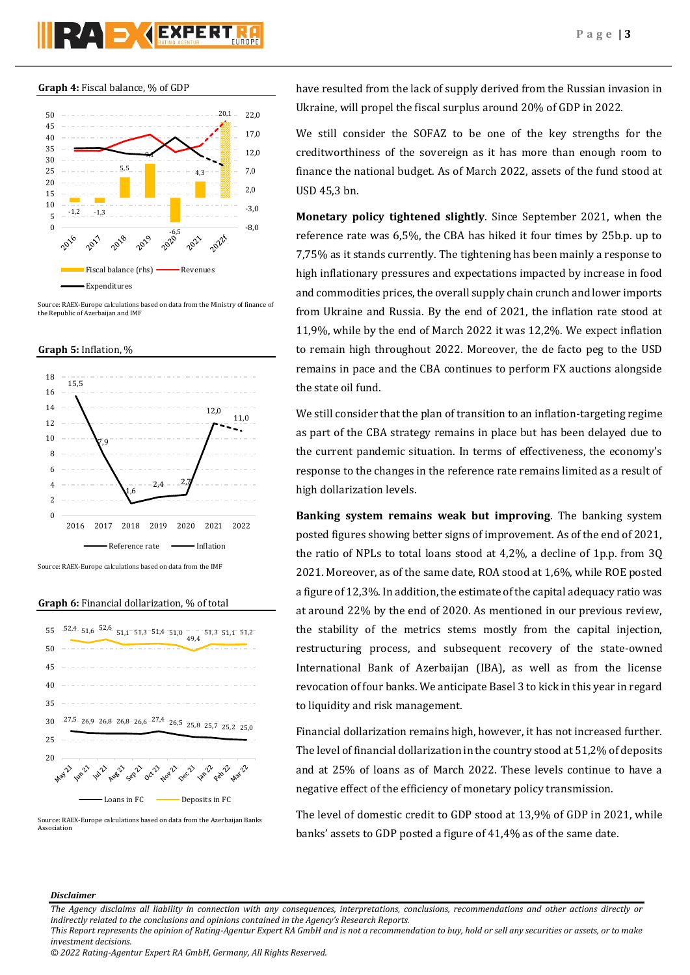

**Graph 4:** Fiscal balance, % of GDP



ource: RAEX-Europe calculations based on data from the Ministry of finance of the Republic of Azerbaijan and IMF





**Graph 6:** Financial dollarization, % of total



Source: RAEX-Europe calculations based on data from the Azerbaijan Banks Association

have resulted from the lack of supply derived from the Russian invasion in Ukraine, will propel the fiscal surplus around 20% of GDP in 2022.

We still consider the SOFAZ to be one of the key strengths for the creditworthiness of the sovereign as it has more than enough room to finance the national budget. As of March 2022, assets of the fund stood at USD 45,3 bn.

**Monetary policy tightened slightly**. Since September 2021, when the reference rate was 6,5%, the CBA has hiked it four times by 25b.p. up to 7,75% as it stands currently. The tightening has been mainly a response to high inflationary pressures and expectations impacted by increase in food and commodities prices, the overall supply chain crunch and lower imports from Ukraine and Russia. By the end of 2021, the inflation rate stood at 11,9%, while by the end of March 2022 it was 12,2%. We expect inflation to remain high throughout 2022. Moreover, the de facto peg to the USD remains in pace and the CBA continues to perform FX auctions alongside the state oil fund.

We still consider that the plan of transition to an inflation-targeting regime as part of the CBA strategy remains in place but has been delayed due to the current pandemic situation. In terms of effectiveness, the economy's response to the changes in the reference rate remains limited as a result of high dollarization levels.

**Banking system remains weak but improving**. The banking system posted figures showing better signs of improvement. As of the end of 2021, the ratio of NPLs to total loans stood at 4,2%, a decline of 1p.p. from 3Q 2021. Moreover, as of the same date, ROA stood at 1,6%, while ROE posted a figure of 12,3%. In addition, the estimate of the capital adequacy ratio was at around 22% by the end of 2020. As mentioned in our previous review, the stability of the metrics stems mostly from the capital injection, restructuring process, and subsequent recovery of the state-owned International Bank of Azerbaijan (IBA), as well as from the license revocation of four banks. We anticipate Basel 3 to kick in this year in regard to liquidity and risk management.

Financial dollarization remains high, however, it has not increased further. The level of financial dollarization in the country stood at 51,2% of deposits and at 25% of loans as of March 2022. These levels continue to have a negative effect of the efficiency of monetary policy transmission.

The level of domestic credit to GDP stood at 13,9% of GDP in 2021, while banks' assets to GDP posted a figure of 41,4% as of the same date.

### *Disclaimer*

*This Report represents the opinion of Rating-Agentur Expert RA GmbH and is not a recommendation to buy, hold or sell any securities or assets, or to make investment decisions.*

*<sup>© 2022</sup> Rating-Agentur Expert RA GmbH, Germany, All Rights Reserved.*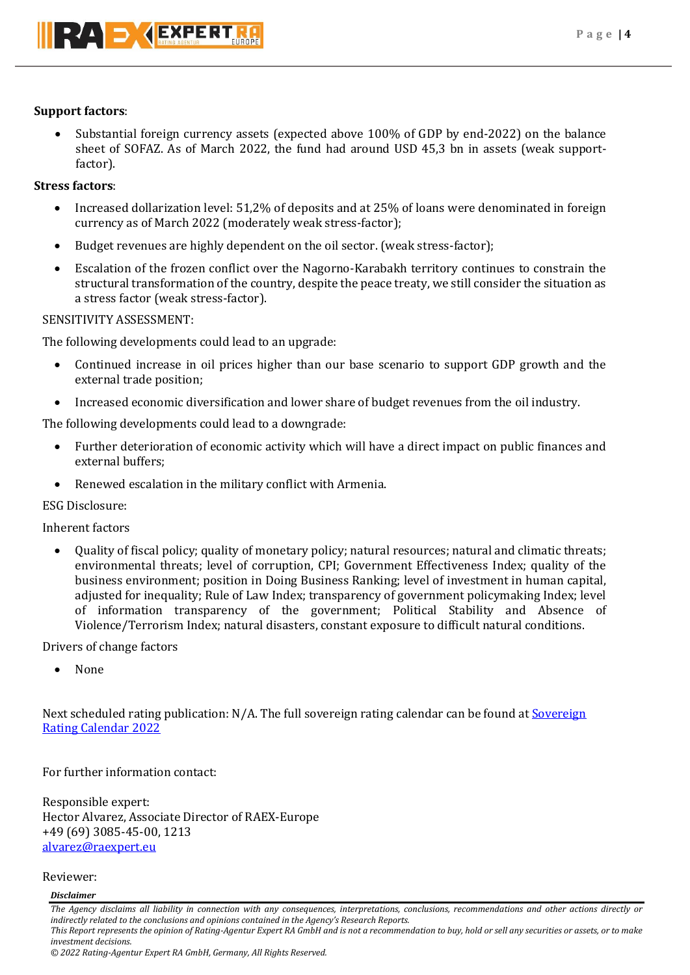# **Support factors**:

 Substantial foreign currency assets (expected above 100% of GDP by end-2022) on the balance sheet of SOFAZ. As of March 2022, the fund had around USD 45,3 bn in assets (weak supportfactor).

# **Stress factors**:

- Increased dollarization level: 51,2% of deposits and at 25% of loans were denominated in foreign currency as of March 2022 (moderately weak stress-factor);
- Budget revenues are highly dependent on the oil sector. (weak stress-factor);
- Escalation of the frozen conflict over the Nagorno-Karabakh territory continues to constrain the structural transformation of the country, despite the peace treaty, we still consider the situation as a stress factor (weak stress-factor).

# SENSITIVITY ASSESSMENT:

The following developments could lead to an upgrade:

- Continued increase in oil prices higher than our base scenario to support GDP growth and the external trade position;
- Increased economic diversification and lower share of budget revenues from the oil industry.

The following developments could lead to a downgrade:

- Further deterioration of economic activity which will have a direct impact on public finances and external buffers;
- Renewed escalation in the military conflict with Armenia.

### ESG Disclosure:

Inherent factors

 Quality of fiscal policy; quality of monetary policy; natural resources; natural and climatic threats; environmental threats; level of corruption, CPI; Government Effectiveness Index; quality of the business environment; position in Doing Business Ranking; level of investment in human capital, adjusted for inequality; Rule of Law Index; transparency of government policymaking Index; level of information transparency of the government; Political Stability and Absence of Violence/Terrorism Index; natural disasters, constant exposure to difficult natural conditions.

# Drivers of change factors

None

Next scheduled rating publication: N/A. The full sovereign rating calendar can be found at Sovereign [Rating Calendar 2022](https://raexpert.eu/sovereign/#conf-tab-5)

For further information contact:

Responsible expert: Hector Alvarez, Associate Director of RAEX-Europe +49 (69) 3085-45-00, 1213 [alvarez@raexpert.eu](mailto:alvarez@raexpert.eu)

Reviewer:

### *Disclaimer*

*The Agency disclaims all liability in connection with any consequences, interpretations, conclusions, recommendations and other actions directly or indirectly related to the conclusions and opinions contained in the Agency's Research Reports. This Report represents the opinion of Rating-Agentur Expert RA GmbH and is not a recommendation to buy, hold or sell any securities or assets, or to make investment decisions. © 2022 Rating-Agentur Expert RA GmbH, Germany, All Rights Reserved.*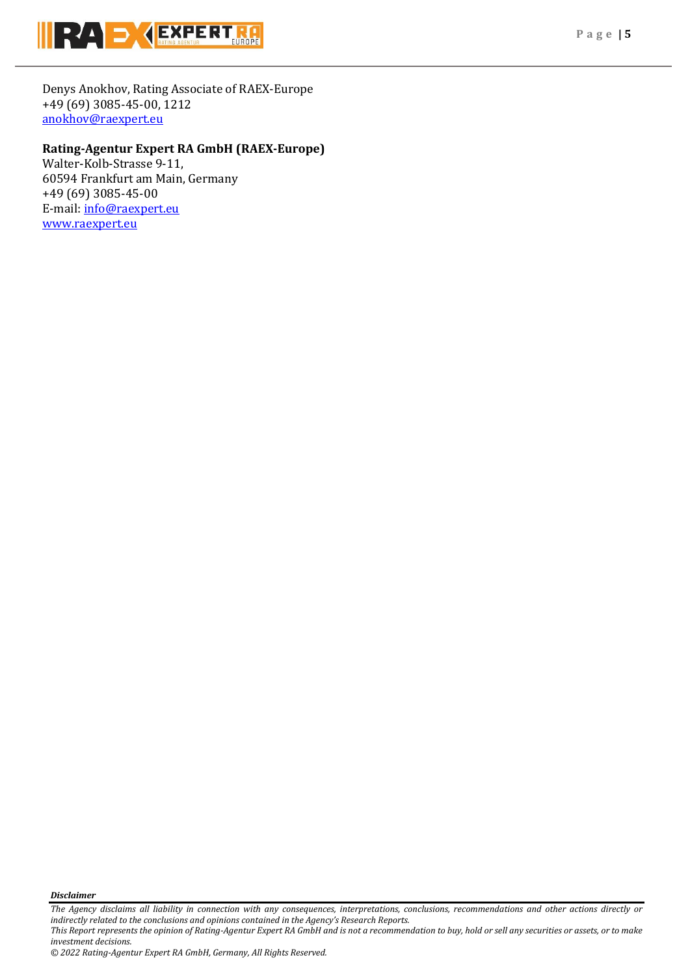

Denys Anokhov, Rating Associate of RAEX-Europe +49 (69) 3085-45-00, 1212 [anokhov@raexpert.eu](mailto:anokhov@raexpert.eu)

# **Rating-Agentur Expert RA GmbH (RAEX-Europe)**

Walter-Kolb-Strasse 9-11, 60594 Frankfurt am Main, Germany +49 (69) 3085-45-00 E-mail[: info@raexpert.eu](mailto:info@raexpert.eu) [www.raexpert.eu](http://www.raexpert.eu/)

*Disclaimer* 

*This Report represents the opinion of Rating-Agentur Expert RA GmbH and is not a recommendation to buy, hold or sell any securities or assets, or to make investment decisions.*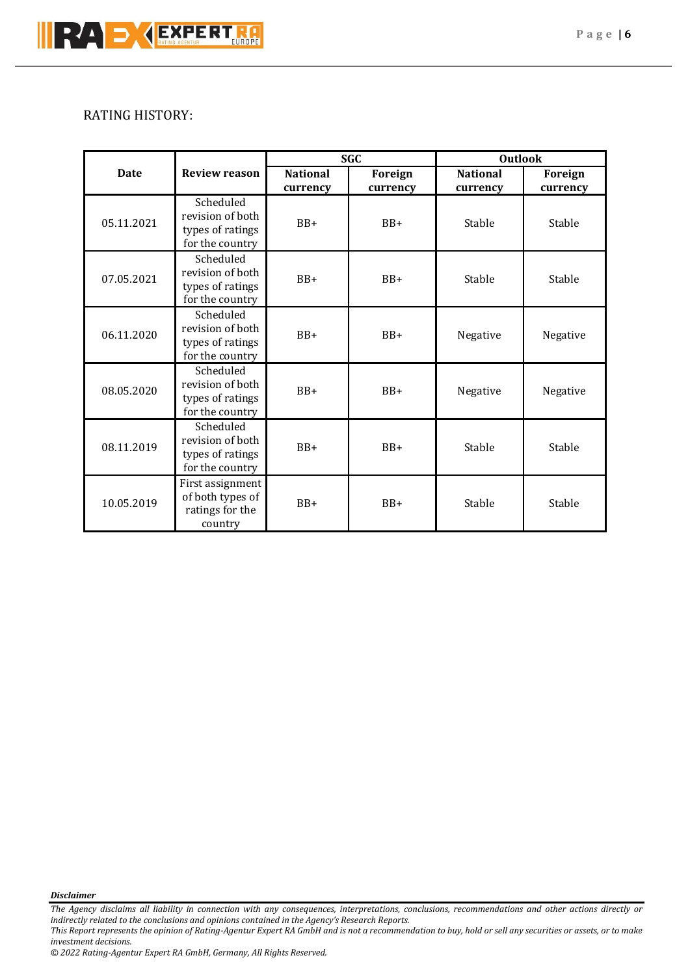# RATING HISTORY:

|             |                                                                      | <b>SGC</b>                  |                     | <b>Outlook</b>              |                     |
|-------------|----------------------------------------------------------------------|-----------------------------|---------------------|-----------------------------|---------------------|
| <b>Date</b> | <b>Review reason</b>                                                 | <b>National</b><br>currency | Foreign<br>currency | <b>National</b><br>currency | Foreign<br>currency |
| 05.11.2021  | Scheduled<br>revision of both<br>types of ratings<br>for the country | $BB+$                       | $BB+$               | Stable                      | Stable              |
| 07.05.2021  | Scheduled<br>revision of both<br>types of ratings<br>for the country | $BB+$                       | $BB+$               | Stable                      | Stable              |
| 06.11.2020  | Scheduled<br>revision of both<br>types of ratings<br>for the country | $BB+$                       | $BB+$               | Negative                    | Negative            |
| 08.05.2020  | Scheduled<br>revision of both<br>types of ratings<br>for the country | $BB+$                       | $BB+$               | Negative                    | Negative            |
| 08.11.2019  | Scheduled<br>revision of both<br>types of ratings<br>for the country | $BB+$                       | $BB+$               | Stable                      | Stable              |
| 10.05.2019  | First assignment<br>of both types of<br>ratings for the<br>country   | $BB+$                       | $BB+$               | Stable                      | Stable              |

*Disclaimer* 

*This Report represents the opinion of Rating-Agentur Expert RA GmbH and is not a recommendation to buy, hold or sell any securities or assets, or to make investment decisions.*